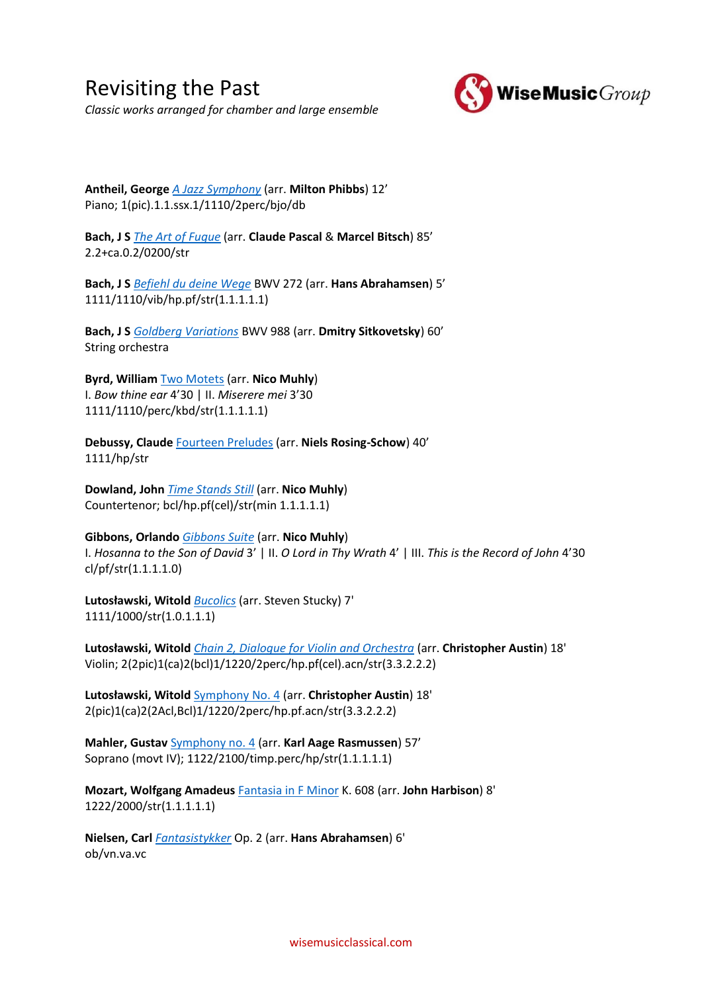Revisiting the Past *Classic works arranged for chamber and large ensemble*



**Antheil, George** *[A Jazz Symphony](https://www.wisemusicclassical.com/work/25590/A-Jazz-Symphony-ensemble-version--George-Antheil/)* (arr. **Milton Phibbs**) 12' Piano; 1(pic).1.1.ssx.1/1110/2perc/bjo/db

**Bach, J S** *[The Art of Fugue](https://www.wisemusicclassical.com/work/49849/The-Art-of-Fugue-arranged-for-orchestra--Johann-Sebastian-Bach/)* (arr. **Claude Pascal** & **Marcel Bitsch**) 85' 2.2+ca.0.2/0200/str

**Bach, J S** *[Befiehl du deine Wege](https://www.wisemusicclassical.com/work/46182/BachAbrahamsen-Befiehl-du-deine-Wege--Johann-Sebastian-Bach/)* BWV 272 (arr. **Hans Abrahamsen**) 5' 1111/1110/vib/hp.pf/str(1.1.1.1.1)

**Bach, J S** *[Goldberg Variations](https://www.wisemusicclassical.com/work/25881/Goldberg-Variations-BWV-988-Sitkovetsky-version--Johann-Sebastian-Bach/)* BWV 988 (arr. **Dmitry Sitkovetsky**) 60' String orchestra

**Byrd, William** [Two Motets](https://www.wisemusicclassical.com/work/43066/) (arr. **Nico Muhly**) I. *Bow thine ear* 4'30 | II. *Miserere mei* 3'30 1111/1110/perc/kbd/str(1.1.1.1.1)

**Debussy, Claude** [Fourteen Preludes](https://www.wisemusicclassical.com/work/47594/Claude-Debussy-Fourteen-Preludes--Claude-Debussy/) (arr. **Niels Rosing-Schow**) 40' 1111/hp/str

**Dowland, John** *[Time Stands Still](https://www.wisemusicclassical.com/work/59189/Time-Stands-Still--John-Dowland/)* (arr. **Nico Muhly**) Countertenor; bcl/hp.pf(cel)/str(min 1.1.1.1.1)

**Gibbons, Orlando** *[Gibbons Suite](https://www.wisemusicclassical.com/work/45673/Gibbons-Suite--Nico-Muhly/)* (arr. **Nico Muhly**) I. *Hosanna to the Son of David* 3' | II. *O Lord in Thy Wrath* 4' | III. *This is the Record of John* 4'30 cl/pf/str(1.1.1.1.0)

**Lutosławski, Witold** *[Bucolics](https://www.wisemusicclassical.com/work/36464/Bucolics--Witold-Lutos%C5%82awski/)* (arr. Steven Stucky) 7' 1111/1000/str(1.0.1.1.1)

**Lutosławski, Witold** *[Chain 2, Dialogue for Violin and Orchestra](https://www.wisemusicclassical.com/work/61093/Chain-2-Lancuch-2-Dialogue-for-Violin-and-Orchestra-Reduced-Orchestration--Witold-Lutos%C5%82awski/)* (arr. **Christopher Austin**) 18' Violin; 2(2pic)1(ca)2(bcl)1/1220/2perc/hp.pf(cel).acn/str(3.3.2.2.2)

**Lutosławski, Witold** [Symphony No. 4](https://www.wisemusicclassical.com/work/61092/Symphony-No-4-4Symfonia-Reduced-Orchestration--Witold-Lutos%C5%82awski/) (arr. **Christopher Austin**) 18' 2(pic)1(ca)2(2Acl,Bcl)1/1220/2perc/hp.pf.acn/str(3.3.2.2.2)

**Mahler, Gustav** [Symphony no. 4](https://www.wisemusicclassical.com/work/47197/Gustav-Mahler-Symphony-no-4--Gustav-Mahler/) (arr. **Karl Aage Rasmussen**) 57' Soprano (movt IV); 1122/2100/timp.perc/hp/str(1.1.1.1.1)

**Mozart, Wolfgang Amadeus** [Fantasia in F Minor](https://www.wisemusicclassical.com/work/30981/Fantasia-in-F-Minor-K-608-for-orchestra--Wolfgang-Amadeus-Mozart/) K. 608 (arr. **John Harbison**) 8' 1222/2000/str(1.1.1.1.1)

**Nielsen, Carl** *[Fantasistykker](https://www.wisemusicclassical.com/work/46180/NielsenAbrahamsen-Fantasistykker--Carl-Nielsen/)* Op. 2 (arr. **Hans Abrahamsen**) 6' ob/vn.va.vc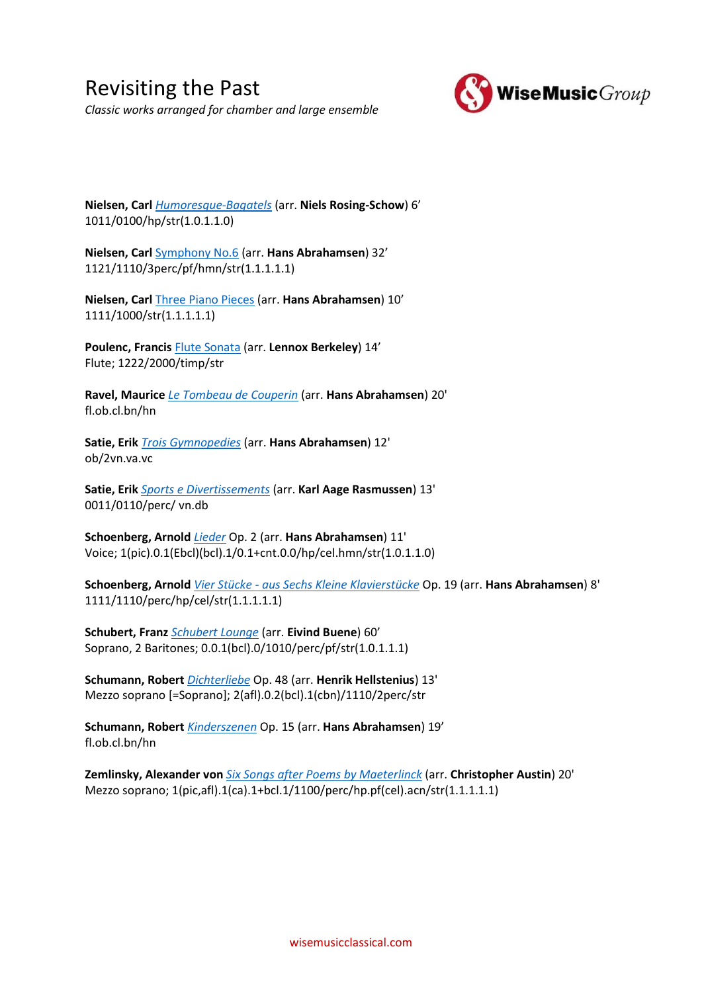Revisiting the Past *Classic works arranged for chamber and large ensemble*



**Nielsen, Carl** *[Humoresque-Bagatels](https://www.wisemusicclassical.com/work/22606/Humoresque-Bagatels--Carl-Nielsen/)* (arr. **Niels Rosing-Schow**) 6' 1011/0100/hp/str(1.0.1.1.0)

**Nielsen, Carl** [Symphony No.6](https://www.wisemusicclassical.com/work/46122/NielsenAbrahamsen-Symfoni-Nr-6--Carl-Nielsen/) (arr. **Hans Abrahamsen**) 32' 1121/1110/3perc/pf/hmn/str(1.1.1.1.1)

**Nielsen, Carl** [Three Piano Pieces](https://www.wisemusicclassical.com/work/46121/NielsenAbrahamsen-Three-Piano-Pieces--Carl-Nielsen/) (arr. **Hans Abrahamsen**) 10' 1111/1000/str(1.1.1.1.1)

**Poulenc, Francis** [Flute Sonata](https://www.wisemusicclassical.com/work/8474/Flute-Sonata--Francis-Poulenc/) (arr. **Lennox Berkeley**) 14' Flute; 1222/2000/timp/str

**Ravel, Maurice** *[Le Tombeau de Couperin](https://www.wisemusicclassical.com/work/48247/Maurice-Ravel--Le-Tombeau-de-Couperin--Maurice-Ravel/)* (arr. **Hans Abrahamsen**) 20' fl.ob.cl.bn/hn

**Satie, Erik** *[Trois Gymnopedies](https://www.wisemusicclassical.com/work/46185/Erik-Satie-Trois-Gymnopedies--Erik-Satie/)* (arr. **Hans Abrahamsen**) 12' ob/2vn.va.vc

**Satie, Erik** *[Sports e Divertissements](https://www.wisemusicclassical.com/work/46190/Satie-Sports-e-Divertissement--Erik-Satie/)* (arr. **Karl Aage Rasmussen**) 13' 0011/0110/perc/ vn.db

**Schoenberg, Arnold** *[Lieder](https://www.wisemusicclassical.com/work/20521/Lieder--Arnold-Schoenberg/)* Op. 2 (arr. **Hans Abrahamsen**) 11' Voice; 1(pic).0.1(Ebcl)(bcl).1/0.1+cnt.0.0/hp/cel.hmn/str(1.0.1.1.0)

**Schoenberg, Arnold** *Vier Stücke - [aus Sechs Kleine Klavierstücke](https://www.wisemusicclassical.com/work/21867/Vier-Stucke---aus-6-Kleine-Klavierstucke--Arnold-Schoenberg/)* Op. 19 (arr. **Hans Abrahamsen**) 8' 1111/1110/perc/hp/cel/str(1.1.1.1.1)

**Schubert, Franz** *[Schubert Lounge](https://www.wisemusicclassical.com/work/59168/Schubert-Lounge--Eivind-Buene/)* (arr. **Eivind Buene**) 60' Soprano, 2 Baritones; 0.0.1(bcl).0/1010/perc/pf/str(1.0.1.1.1)

**Schumann, Robert** *[Dichterliebe](https://www.wisemusicclassical.com/work/54325/Robert-Schumann-Dichterliebe--Robert-Schumann/)* Op. 48 (arr. **Henrik Hellstenius**) 13' Mezzo soprano [=Soprano]; 2(afl).0.2(bcl).1(cbn)/1110/2perc/str

**Schumann, Robert** *[Kinderszenen](https://www.wisemusicclassical.com/work/46184/Schumann-Kinderszenen--Robert-Schumann/)* Op. 15 (arr. **Hans Abrahamsen**) 19' fl.ob.cl.bn/hn

**Zemlinsky, Alexander von** *[Six Songs after Poems by Maeterlinck](https://www.wisemusicclassical.com/work/60922/Six-Songs-after-Poems-by-Maeterlinck-Zemlinsky-orch-Austin--Christopher-Austin/)* (arr. **Christopher Austin**) 20' Mezzo soprano; 1(pic,afl).1(ca).1+bcl.1/1100/perc/hp.pf(cel).acn/str(1.1.1.1.1)